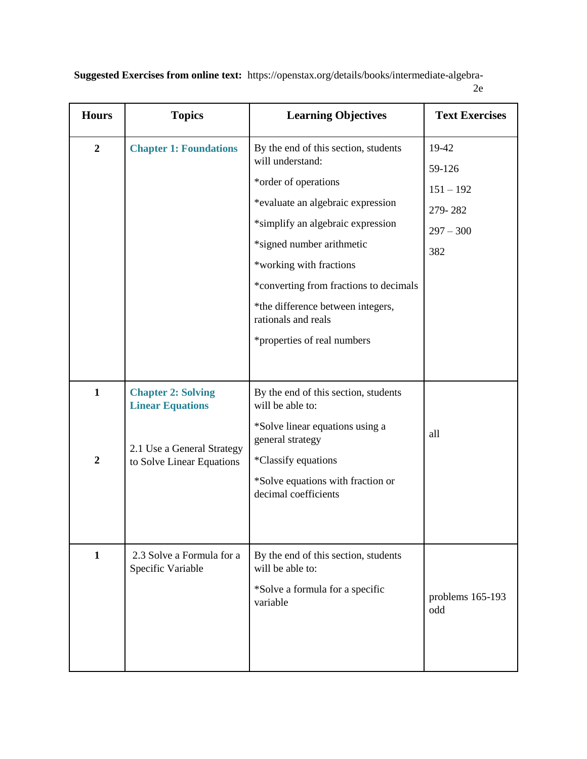**Suggested Exercises from online text:** https://openstax.org/details/books/intermediate-algebra-2e

| <b>Hours</b>                     | <b>Topics</b>                                                                                                   | <b>Learning Objectives</b>                                                                                                                                                                                                                                   | <b>Text Exercises</b>                                           |
|----------------------------------|-----------------------------------------------------------------------------------------------------------------|--------------------------------------------------------------------------------------------------------------------------------------------------------------------------------------------------------------------------------------------------------------|-----------------------------------------------------------------|
| $\boldsymbol{2}$                 | <b>Chapter 1: Foundations</b>                                                                                   | By the end of this section, students<br>will understand:<br>*order of operations<br>*evaluate an algebraic expression<br>*simplify an algebraic expression<br>*signed number arithmetic<br>*working with fractions<br>*converting from fractions to decimals | 19-42<br>59-126<br>$151 - 192$<br>279-282<br>$297 - 300$<br>382 |
|                                  |                                                                                                                 | *the difference between integers,<br>rationals and reals<br>*properties of real numbers                                                                                                                                                                      |                                                                 |
| $\mathbf{1}$<br>$\boldsymbol{2}$ | <b>Chapter 2: Solving</b><br><b>Linear Equations</b><br>2.1 Use a General Strategy<br>to Solve Linear Equations | By the end of this section, students<br>will be able to:<br>*Solve linear equations using a<br>general strategy<br>*Classify equations<br>*Solve equations with fraction or<br>decimal coefficients                                                          | all                                                             |
| $\mathbf{1}$                     | 2.3 Solve a Formula for a<br>Specific Variable                                                                  | By the end of this section, students<br>will be able to:<br>*Solve a formula for a specific<br>variable                                                                                                                                                      | problems 165-193<br>odd                                         |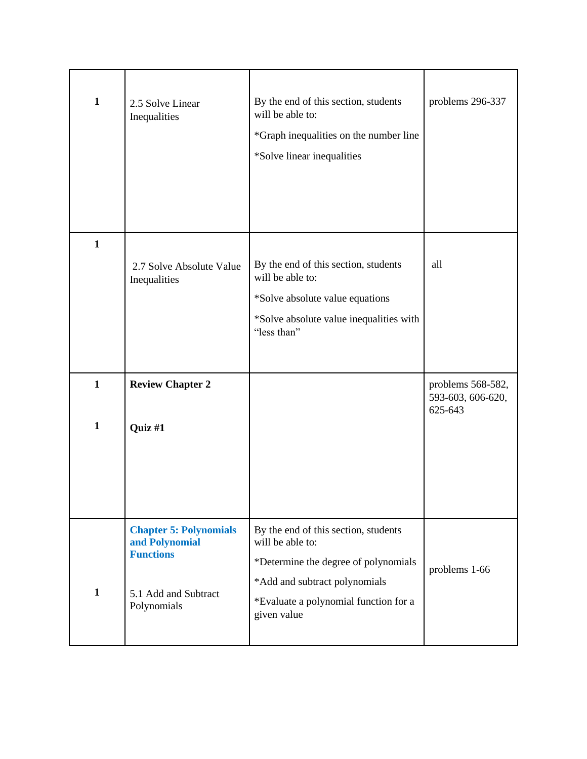| $\mathbf{1}$                 | 2.5 Solve Linear<br>Inequalities                                                                           | By the end of this section, students<br>will be able to:<br>*Graph inequalities on the number line<br>*Solve linear inequalities                                                          | problems 296-337                                  |
|------------------------------|------------------------------------------------------------------------------------------------------------|-------------------------------------------------------------------------------------------------------------------------------------------------------------------------------------------|---------------------------------------------------|
| $\mathbf{1}$                 | 2.7 Solve Absolute Value<br>Inequalities                                                                   | By the end of this section, students<br>will be able to:<br>*Solve absolute value equations<br>*Solve absolute value inequalities with<br>"less than"                                     | all                                               |
| $\mathbf{1}$<br>$\mathbf{1}$ | <b>Review Chapter 2</b><br>Quiz #1                                                                         |                                                                                                                                                                                           | problems 568-582,<br>593-603, 606-620,<br>625-643 |
| $\mathbf{1}$                 | <b>Chapter 5: Polynomials</b><br>and Polynomial<br><b>Functions</b><br>5.1 Add and Subtract<br>Polynomials | By the end of this section, students<br>will be able to:<br>*Determine the degree of polynomials<br>*Add and subtract polynomials<br>*Evaluate a polynomial function for a<br>given value | problems 1-66                                     |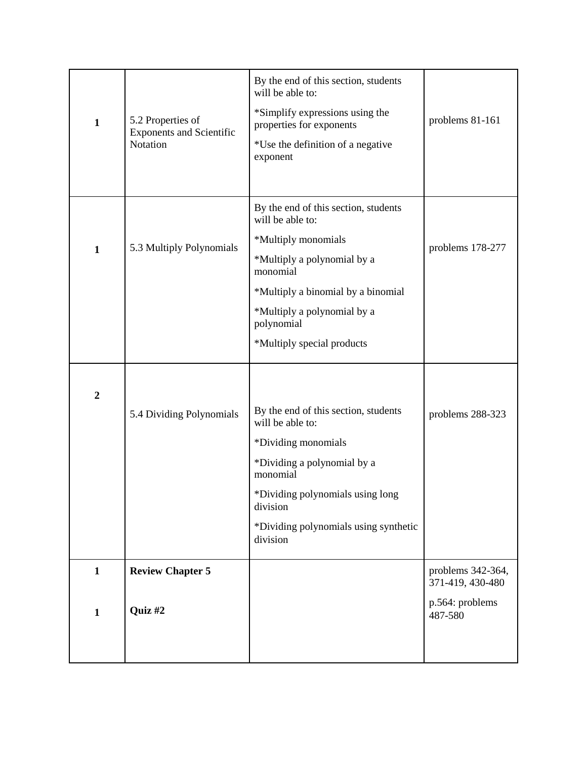| $\mathbf{1}$                 | 5.2 Properties of<br><b>Exponents and Scientific</b><br>Notation | By the end of this section, students<br>will be able to:<br>*Simplify expressions using the<br>properties for exponents<br>*Use the definition of a negative<br>exponent                                                        | problems 81-161                                                     |
|------------------------------|------------------------------------------------------------------|---------------------------------------------------------------------------------------------------------------------------------------------------------------------------------------------------------------------------------|---------------------------------------------------------------------|
| $\mathbf{1}$                 | 5.3 Multiply Polynomials                                         | By the end of this section, students<br>will be able to:<br>*Multiply monomials<br>*Multiply a polynomial by a<br>monomial<br>*Multiply a binomial by a binomial                                                                | problems 178-277                                                    |
|                              |                                                                  | *Multiply a polynomial by a<br>polynomial<br>*Multiply special products                                                                                                                                                         |                                                                     |
| $\boldsymbol{2}$             | 5.4 Dividing Polynomials                                         | By the end of this section, students<br>will be able to:<br>*Dividing monomials<br>*Dividing a polynomial by a<br>monomial<br>*Dividing polynomials using long<br>division<br>*Dividing polynomials using synthetic<br>division | problems 288-323                                                    |
| $\mathbf{1}$<br>$\mathbf{1}$ | <b>Review Chapter 5</b><br>Quiz #2                               |                                                                                                                                                                                                                                 | problems 342-364,<br>371-419, 430-480<br>p.564: problems<br>487-580 |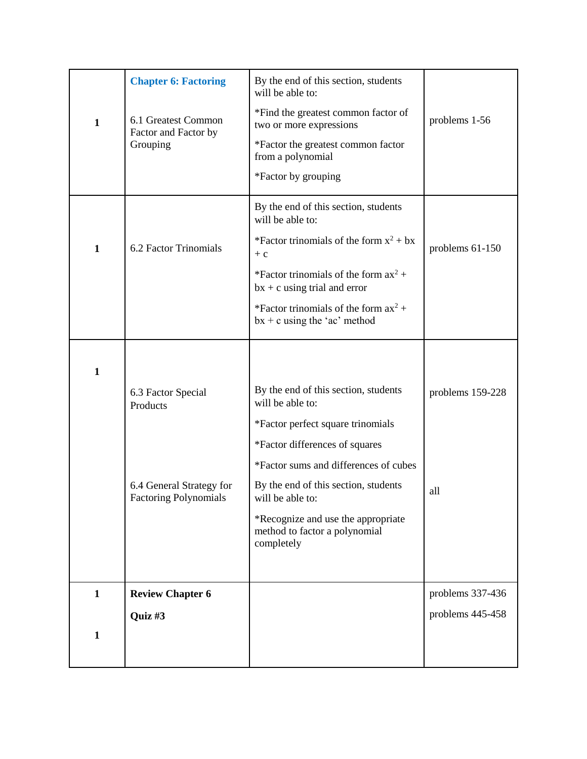|              | <b>Chapter 6: Factoring</b>                              | By the end of this section, students<br>will be able to:                          |                  |
|--------------|----------------------------------------------------------|-----------------------------------------------------------------------------------|------------------|
| $\mathbf{1}$ | 6.1 Greatest Common<br>Factor and Factor by              | *Find the greatest common factor of<br>two or more expressions                    | problems 1-56    |
|              | Grouping                                                 | *Factor the greatest common factor<br>from a polynomial                           |                  |
|              |                                                          | *Factor by grouping                                                               |                  |
|              |                                                          | By the end of this section, students<br>will be able to:                          |                  |
| $\mathbf{1}$ | 6.2 Factor Trinomials                                    | *Factor trinomials of the form $x^2 + bx$<br>$+ c$                                | problems 61-150  |
|              |                                                          | *Factor trinomials of the form $ax^2 +$<br>$bx + c$ using trial and error         |                  |
|              |                                                          | *Factor trinomials of the form $ax^2 +$<br>$bx + c$ using the 'ac' method         |                  |
|              |                                                          |                                                                                   |                  |
| $\mathbf{1}$ |                                                          |                                                                                   |                  |
|              | 6.3 Factor Special<br>Products                           | By the end of this section, students<br>will be able to:                          | problems 159-228 |
|              |                                                          | *Factor perfect square trinomials                                                 |                  |
|              |                                                          | *Factor differences of squares                                                    |                  |
|              |                                                          | *Factor sums and differences of cubes                                             |                  |
|              | 6.4 General Strategy for<br><b>Factoring Polynomials</b> | By the end of this section, students<br>will be able to:                          | all              |
|              |                                                          | *Recognize and use the appropriate<br>method to factor a polynomial<br>completely |                  |
|              |                                                          |                                                                                   |                  |
| $\mathbf{1}$ | <b>Review Chapter 6</b>                                  |                                                                                   | problems 337-436 |
|              | Quiz #3                                                  |                                                                                   | problems 445-458 |
| $\mathbf{1}$ |                                                          |                                                                                   |                  |
|              |                                                          |                                                                                   |                  |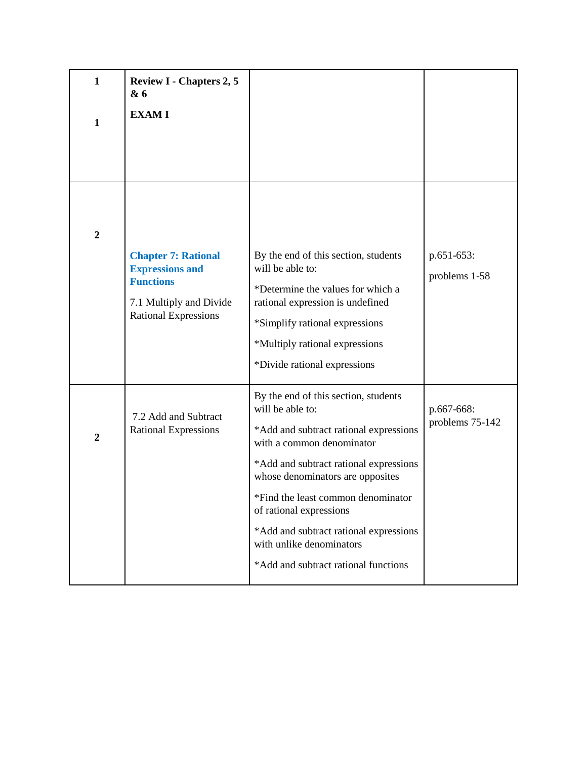| $\mathbf{1}$<br>$\mathbf{1}$ | <b>Review I - Chapters 2, 5</b><br>& 6<br><b>EXAMI</b>                                                                             |                                                                                                                                                                                                                                                                                                                                                                                              |                               |
|------------------------------|------------------------------------------------------------------------------------------------------------------------------------|----------------------------------------------------------------------------------------------------------------------------------------------------------------------------------------------------------------------------------------------------------------------------------------------------------------------------------------------------------------------------------------------|-------------------------------|
| $\boldsymbol{2}$             | <b>Chapter 7: Rational</b><br><b>Expressions and</b><br><b>Functions</b><br>7.1 Multiply and Divide<br><b>Rational Expressions</b> | By the end of this section, students<br>will be able to:<br>*Determine the values for which a<br>rational expression is undefined<br>*Simplify rational expressions<br>*Multiply rational expressions<br>*Divide rational expressions                                                                                                                                                        | p.651-653:<br>problems 1-58   |
| $\boldsymbol{2}$             | 7.2 Add and Subtract<br><b>Rational Expressions</b>                                                                                | By the end of this section, students<br>will be able to:<br>*Add and subtract rational expressions<br>with a common denominator<br>*Add and subtract rational expressions<br>whose denominators are opposites<br>*Find the least common denominator<br>of rational expressions<br>*Add and subtract rational expressions<br>with unlike denominators<br>*Add and subtract rational functions | p.667-668:<br>problems 75-142 |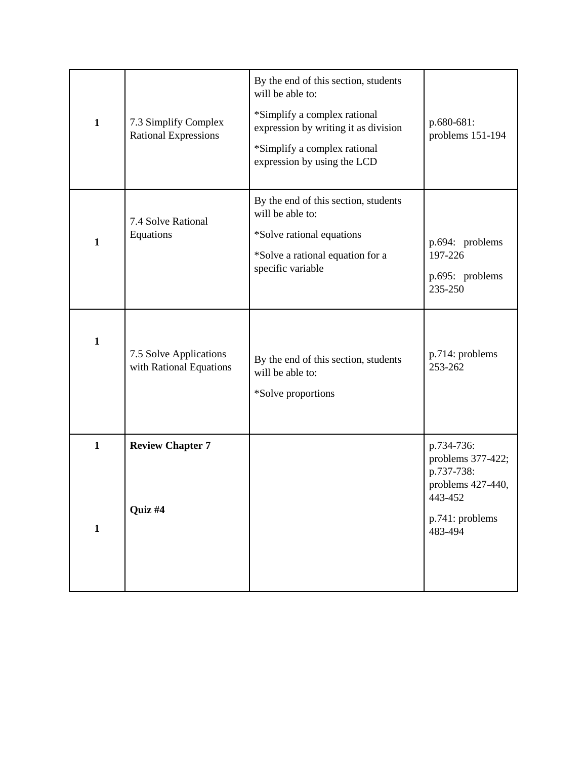| $\mathbf{1}$                 | 7.3 Simplify Complex<br><b>Rational Expressions</b> | By the end of this section, students<br>will be able to:<br>*Simplify a complex rational<br>expression by writing it as division<br>*Simplify a complex rational<br>expression by using the LCD | p.680-681:<br>problems 151-194                                                                              |
|------------------------------|-----------------------------------------------------|-------------------------------------------------------------------------------------------------------------------------------------------------------------------------------------------------|-------------------------------------------------------------------------------------------------------------|
| $\mathbf{1}$                 | 7.4 Solve Rational<br>Equations                     | By the end of this section, students<br>will be able to:<br>*Solve rational equations<br>*Solve a rational equation for a<br>specific variable                                                  | p.694: problems<br>197-226<br>p.695: problems<br>235-250                                                    |
| $\mathbf{1}$                 | 7.5 Solve Applications<br>with Rational Equations   | By the end of this section, students<br>will be able to:<br>*Solve proportions                                                                                                                  | p.714: problems<br>253-262                                                                                  |
| $\mathbf{1}$<br>$\mathbf{1}$ | <b>Review Chapter 7</b><br>Quiz #4                  |                                                                                                                                                                                                 | p.734-736:<br>problems 377-422;<br>p.737-738:<br>problems 427-440,<br>443-452<br>p.741: problems<br>483-494 |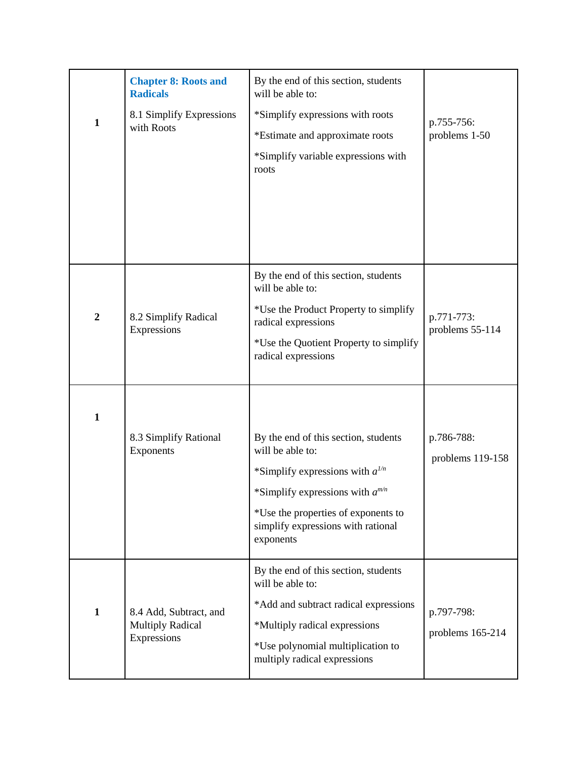| $\mathbf{1}$     | <b>Chapter 8: Roots and</b><br><b>Radicals</b><br>8.1 Simplify Expressions<br>with Roots | By the end of this section, students<br>will be able to:<br>*Simplify expressions with roots<br>*Estimate and approximate roots<br>*Simplify variable expressions with<br>roots                                                    | p.755-756:<br>problems 1-50    |
|------------------|------------------------------------------------------------------------------------------|------------------------------------------------------------------------------------------------------------------------------------------------------------------------------------------------------------------------------------|--------------------------------|
| $\boldsymbol{2}$ | 8.2 Simplify Radical<br>Expressions                                                      | By the end of this section, students<br>will be able to:<br>*Use the Product Property to simplify<br>radical expressions<br>*Use the Quotient Property to simplify<br>radical expressions                                          | p.771-773:<br>problems 55-114  |
| $\mathbf{1}$     | 8.3 Simplify Rational<br>Exponents                                                       | By the end of this section, students<br>will be able to:<br>*Simplify expressions with $a^{1/n}$<br>*Simplify expressions with $a^{m/n}$<br>*Use the properties of exponents to<br>simplify expressions with rational<br>exponents | p.786-788:<br>problems 119-158 |
| $\mathbf{1}$     | 8.4 Add, Subtract, and<br><b>Multiply Radical</b><br>Expressions                         | By the end of this section, students<br>will be able to:<br>*Add and subtract radical expressions<br>*Multiply radical expressions<br>*Use polynomial multiplication to<br>multiply radical expressions                            | p.797-798:<br>problems 165-214 |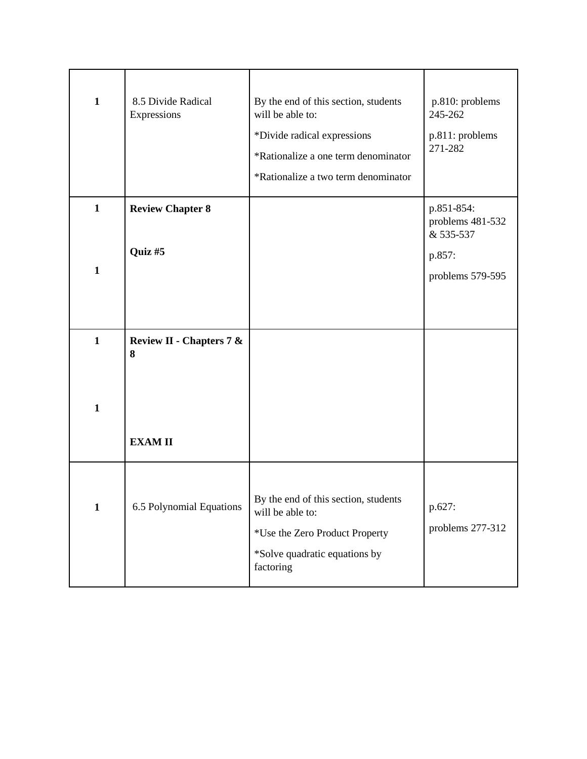| $\mathbf{1}$                 | 8.5 Divide Radical<br>Expressions              | By the end of this section, students<br>will be able to:<br>*Divide radical expressions<br>*Rationalize a one term denominator<br>*Rationalize a two term denominator | p.810: problems<br>245-262<br>p.811: problems<br>271-282                  |
|------------------------------|------------------------------------------------|-----------------------------------------------------------------------------------------------------------------------------------------------------------------------|---------------------------------------------------------------------------|
| $\mathbf{1}$<br>$\mathbf{1}$ | <b>Review Chapter 8</b><br>Quiz #5             |                                                                                                                                                                       | p.851-854:<br>problems 481-532<br>& 535-537<br>p.857:<br>problems 579-595 |
| $\mathbf{1}$<br>$\mathbf{1}$ | Review II - Chapters 7 &<br>8<br><b>EXAMII</b> |                                                                                                                                                                       |                                                                           |
| $\mathbf{1}$                 | 6.5 Polynomial Equations                       | By the end of this section, students<br>will be able to:<br>*Use the Zero Product Property<br>*Solve quadratic equations by<br>factoring                              | p.627:<br>problems 277-312                                                |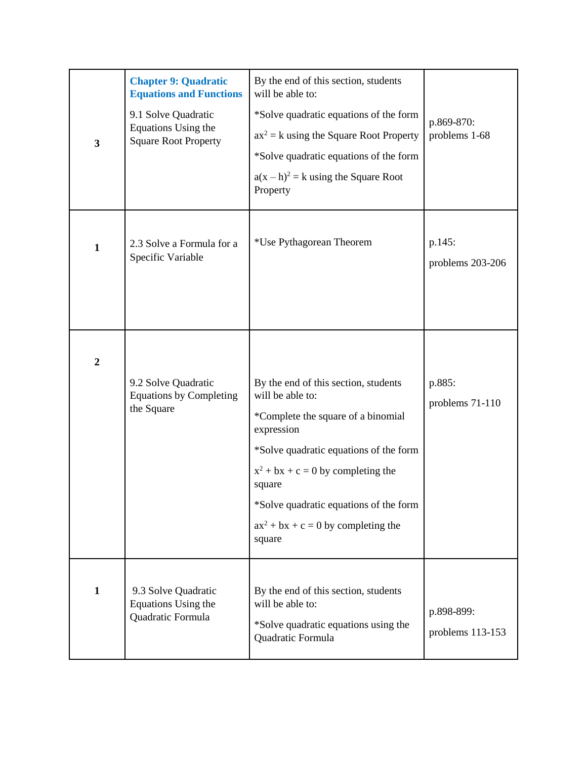| $\overline{\mathbf{3}}$ | <b>Chapter 9: Quadratic</b><br><b>Equations and Functions</b><br>9.1 Solve Quadratic<br>Equations Using the<br><b>Square Root Property</b> | By the end of this section, students<br>will be able to:<br>*Solve quadratic equations of the form<br>$ax^2 = k$ using the Square Root Property<br>*Solve quadratic equations of the form<br>$a(x-h)^2 = k$ using the Square Root<br>Property                                                           | p.869-870:<br>problems 1-68    |
|-------------------------|--------------------------------------------------------------------------------------------------------------------------------------------|---------------------------------------------------------------------------------------------------------------------------------------------------------------------------------------------------------------------------------------------------------------------------------------------------------|--------------------------------|
| $\mathbf{1}$            | 2.3 Solve a Formula for a<br>Specific Variable                                                                                             | *Use Pythagorean Theorem                                                                                                                                                                                                                                                                                | p.145:<br>problems 203-206     |
| $\boldsymbol{2}$        | 9.2 Solve Quadratic<br><b>Equations by Completing</b><br>the Square                                                                        | By the end of this section, students<br>will be able to:<br>*Complete the square of a binomial<br>expression<br>*Solve quadratic equations of the form<br>$x^2 + bx + c = 0$ by completing the<br>square<br>*Solve quadratic equations of the form<br>$ax^{2} + bx + c = 0$ by completing the<br>square | p.885:<br>problems 71-110      |
| $\mathbf{1}$            | 9.3 Solve Quadratic<br>Equations Using the<br>Quadratic Formula                                                                            | By the end of this section, students<br>will be able to:<br>*Solve quadratic equations using the<br>Quadratic Formula                                                                                                                                                                                   | p.898-899:<br>problems 113-153 |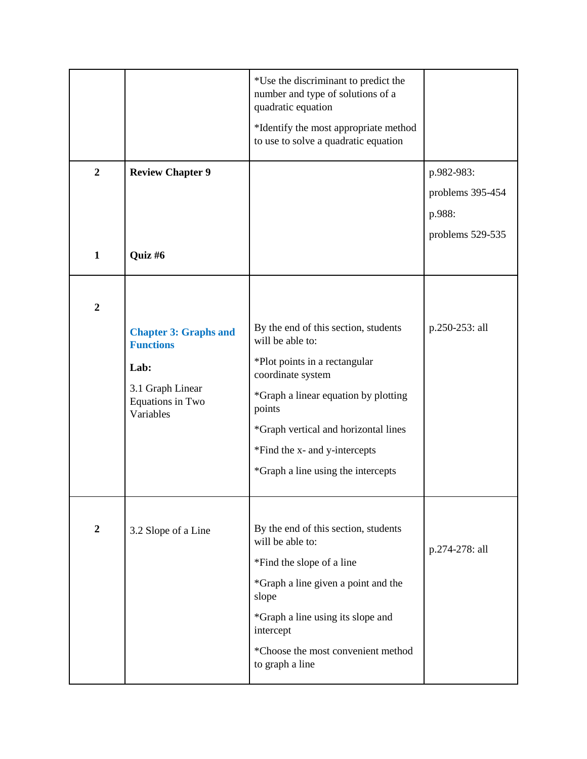|                  |                                                   | *Use the discriminant to predict the<br>number and type of solutions of a<br>quadratic equation<br>*Identify the most appropriate method<br>to use to solve a quadratic equation |                  |
|------------------|---------------------------------------------------|----------------------------------------------------------------------------------------------------------------------------------------------------------------------------------|------------------|
| $\overline{2}$   | <b>Review Chapter 9</b>                           |                                                                                                                                                                                  | p.982-983:       |
|                  |                                                   |                                                                                                                                                                                  | problems 395-454 |
|                  |                                                   |                                                                                                                                                                                  | p.988:           |
|                  |                                                   |                                                                                                                                                                                  | problems 529-535 |
| $\mathbf{1}$     | Quiz #6                                           |                                                                                                                                                                                  |                  |
| $\boldsymbol{2}$ |                                                   |                                                                                                                                                                                  |                  |
|                  | <b>Chapter 3: Graphs and</b><br><b>Functions</b>  | By the end of this section, students<br>will be able to:                                                                                                                         | p.250-253: all   |
|                  | Lab:                                              | *Plot points in a rectangular<br>coordinate system                                                                                                                               |                  |
|                  | 3.1 Graph Linear<br>Equations in Two<br>Variables | *Graph a linear equation by plotting<br>points                                                                                                                                   |                  |
|                  |                                                   | *Graph vertical and horizontal lines                                                                                                                                             |                  |
|                  |                                                   | *Find the x- and y-intercepts                                                                                                                                                    |                  |
|                  |                                                   | *Graph a line using the intercepts                                                                                                                                               |                  |
|                  |                                                   |                                                                                                                                                                                  |                  |
| $\boldsymbol{2}$ | 3.2 Slope of a Line                               | By the end of this section, students<br>will be able to:                                                                                                                         | p.274-278: all   |
|                  |                                                   | *Find the slope of a line                                                                                                                                                        |                  |
|                  |                                                   | *Graph a line given a point and the<br>slope                                                                                                                                     |                  |
|                  |                                                   | *Graph a line using its slope and<br>intercept                                                                                                                                   |                  |
|                  |                                                   | *Choose the most convenient method<br>to graph a line                                                                                                                            |                  |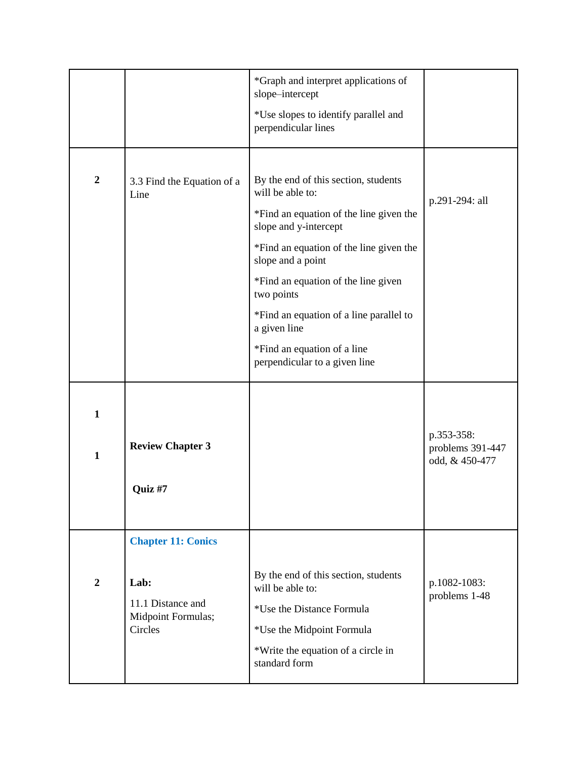|                              |                                                                                         | *Graph and interpret applications of<br>slope-intercept<br>*Use slopes to identify parallel and<br>perpendicular lines                                                                                                                                                                                                                                                       |                                                  |
|------------------------------|-----------------------------------------------------------------------------------------|------------------------------------------------------------------------------------------------------------------------------------------------------------------------------------------------------------------------------------------------------------------------------------------------------------------------------------------------------------------------------|--------------------------------------------------|
| $\boldsymbol{2}$             | 3.3 Find the Equation of a<br>Line                                                      | By the end of this section, students<br>will be able to:<br>*Find an equation of the line given the<br>slope and y-intercept<br>*Find an equation of the line given the<br>slope and a point<br>*Find an equation of the line given<br>two points<br>*Find an equation of a line parallel to<br>a given line<br>*Find an equation of a line<br>perpendicular to a given line | p.291-294: all                                   |
| $\mathbf{1}$<br>$\mathbf{1}$ | <b>Review Chapter 3</b><br>Quiz #7                                                      |                                                                                                                                                                                                                                                                                                                                                                              | p.353-358:<br>problems 391-447<br>odd, & 450-477 |
| $\boldsymbol{2}$             | <b>Chapter 11: Conics</b><br>Lab:<br>11.1 Distance and<br>Midpoint Formulas;<br>Circles | By the end of this section, students<br>will be able to:<br>*Use the Distance Formula<br>*Use the Midpoint Formula<br>*Write the equation of a circle in<br>standard form                                                                                                                                                                                                    | p.1082-1083:<br>problems 1-48                    |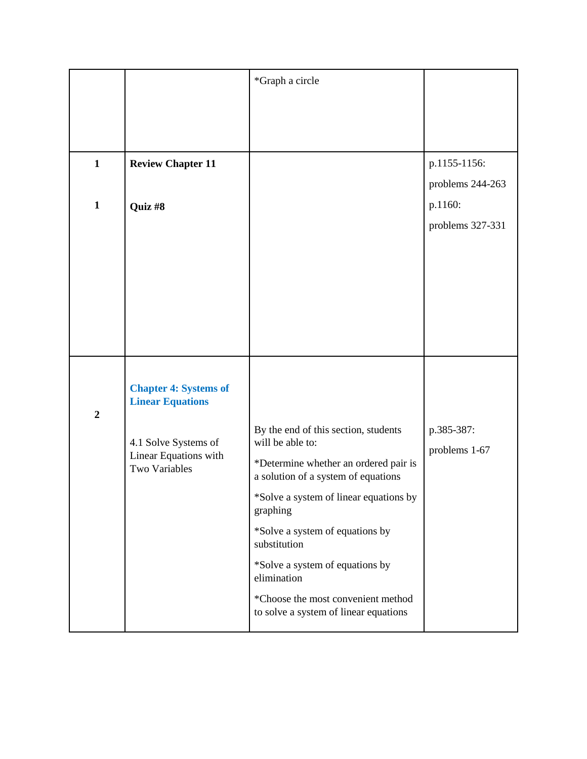|                  |                                                         | *Graph a circle                                                              |                             |
|------------------|---------------------------------------------------------|------------------------------------------------------------------------------|-----------------------------|
|                  |                                                         |                                                                              |                             |
|                  |                                                         |                                                                              |                             |
| $\mathbf{1}$     | <b>Review Chapter 11</b>                                |                                                                              | p.1155-1156:                |
|                  |                                                         |                                                                              | problems 244-263            |
| $\mathbf{1}$     | Quiz #8                                                 |                                                                              | p.1160:                     |
|                  |                                                         |                                                                              | problems 327-331            |
|                  |                                                         |                                                                              |                             |
|                  |                                                         |                                                                              |                             |
|                  |                                                         |                                                                              |                             |
|                  |                                                         |                                                                              |                             |
|                  |                                                         |                                                                              |                             |
|                  |                                                         |                                                                              |                             |
|                  | <b>Chapter 4: Systems of</b><br><b>Linear Equations</b> |                                                                              |                             |
| $\boldsymbol{2}$ |                                                         |                                                                              |                             |
|                  | 4.1 Solve Systems of                                    | By the end of this section, students<br>will be able to:                     | p.385-387:<br>problems 1-67 |
|                  | Linear Equations with<br>Two Variables                  | *Determine whether an ordered pair is<br>a solution of a system of equations |                             |
|                  |                                                         | *Solve a system of linear equations by<br>graphing                           |                             |
|                  |                                                         | *Solve a system of equations by<br>substitution                              |                             |
|                  |                                                         | *Solve a system of equations by<br>elimination                               |                             |
|                  |                                                         | *Choose the most convenient method<br>to solve a system of linear equations  |                             |